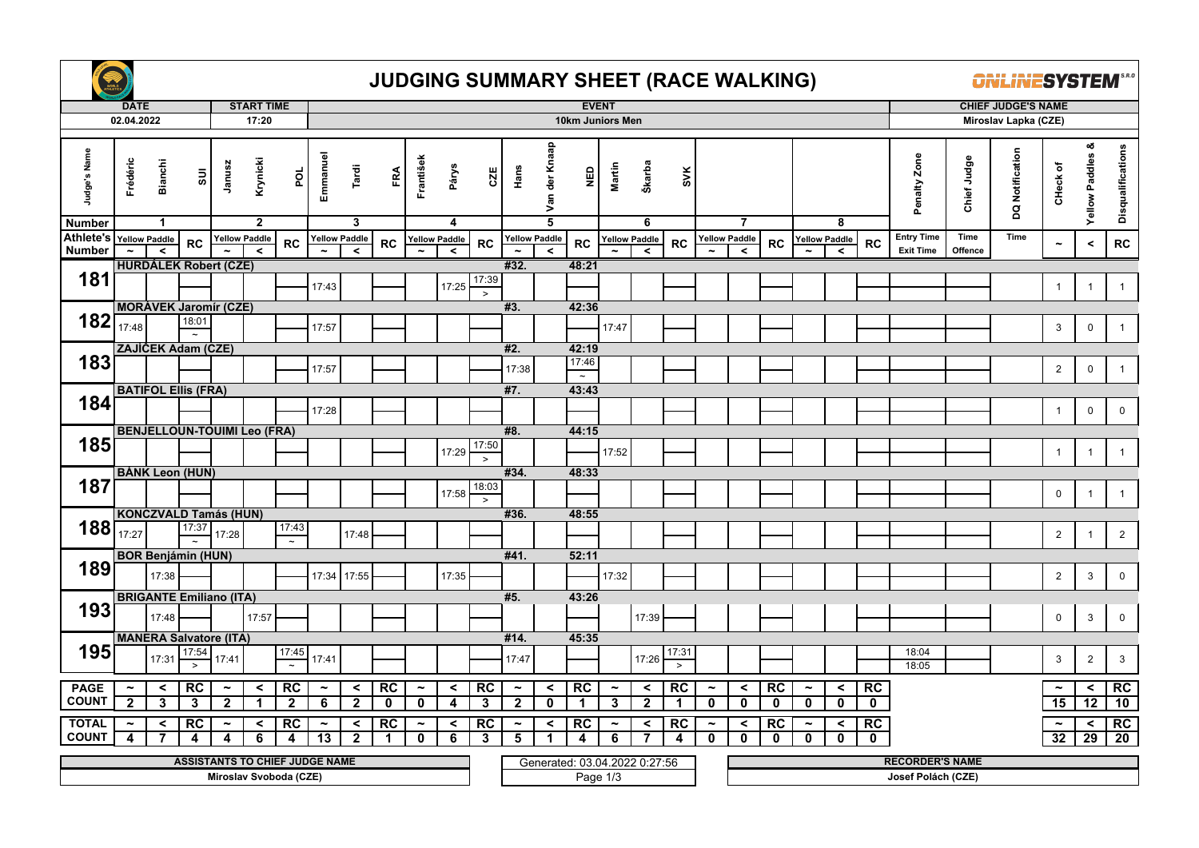

## **JUDGING SUMMARY SHEET (RACE WALKING)**

*<u>ONLINESYSTEM*</u>

|                            | <b>DATE</b>           |                                 |                                       |                       | <b>START TIME</b>               |                                |                       |                          |             |                       |                                      |                 | <b>EVENT</b>          |                                 |                                           |                       |                                 |                 |                       |                                 |             |                       |                          | <b>CHIEF JUDGE'S NAME</b> |                                       |                 |                 |                       |                             |                   |  |
|----------------------------|-----------------------|---------------------------------|---------------------------------------|-----------------------|---------------------------------|--------------------------------|-----------------------|--------------------------|-------------|-----------------------|--------------------------------------|-----------------|-----------------------|---------------------------------|-------------------------------------------|-----------------------|---------------------------------|-----------------|-----------------------|---------------------------------|-------------|-----------------------|--------------------------|---------------------------|---------------------------------------|-----------------|-----------------|-----------------------|-----------------------------|-------------------|--|
|                            | 02.04.2022            |                                 |                                       |                       | 17:20                           |                                |                       |                          |             |                       |                                      |                 | 10km Juniors Men      |                                 |                                           |                       |                                 |                 |                       |                                 |             |                       |                          |                           | Miroslav Lapka (CZE)                  |                 |                 |                       |                             |                   |  |
| Judge's Name               | Frédéric              | <b>Bianchi</b>                  | ā                                     | Janusz                | Krynicki                        | por                            | Emmanuel              | Tardi                    | FRA         | František             | Párys                                | CZE             | Hans                  | Van der Knaap                   | $\mathbf{\underline{a}}$                  | Martin                | Škarba                          | SVK             |                       |                                 |             |                       |                          |                           | Penalty Zone                          | Chief Judge     | DQ Notification | CHeck of              | οð<br><b>Yellow Paddles</b> | Disqualifications |  |
| <b>Number</b>              |                       | $\mathbf{1}$                    |                                       |                       | $\overline{2}$                  |                                |                       | 3                        |             |                       | 4                                    |                 |                       | $\overline{\mathbf{5}}$         |                                           |                       | 6                               |                 |                       | $\overline{7}$                  |             |                       | 8                        |                           |                                       |                 |                 |                       |                             |                   |  |
| Athlete's<br><b>Number</b> |                       | <b>Yellow Paddle</b><br>$\prec$ | <b>RC</b>                             |                       | <b>Yellow Paddle</b><br>$\prec$ | <b>RC</b>                      |                       | Yellow Paddle<br>$\prec$ | <b>RC</b>   |                       | <b>Yellow Paddle</b><br>$\checkmark$ | RC              |                       | <b>Yellow Paddle</b><br>$\prec$ | RC                                        |                       | <b>Yellow Paddle</b><br>$\prec$ | <b>RC</b>       |                       | <b>Yellow Paddle</b><br>$\prec$ | RC          |                       | Yellow Paddle<br>$\prec$ | RC                        | <b>Entry Time</b><br><b>Exit Time</b> | Time<br>Offence | Time            | $\tilde{\phantom{a}}$ | $\hat{}$                    | RC                |  |
|                            |                       |                                 | <b>HURDALEK Robert (CZE)</b>          |                       |                                 |                                |                       |                          |             |                       |                                      |                 | #32.                  |                                 | 48:21                                     |                       |                                 |                 |                       |                                 |             |                       |                          |                           |                                       |                 |                 |                       |                             |                   |  |
| 181                        |                       |                                 |                                       |                       |                                 |                                |                       |                          |             |                       |                                      | 17:39           |                       |                                 |                                           |                       |                                 |                 |                       |                                 |             |                       |                          |                           |                                       |                 |                 |                       |                             |                   |  |
|                            |                       |                                 |                                       |                       |                                 |                                | 17:43                 |                          |             |                       | 17:25                                | $\,>$           |                       |                                 |                                           |                       |                                 |                 |                       |                                 |             |                       |                          |                           |                                       |                 |                 | $\mathbf{1}$          | $\mathbf{1}$                | $\mathbf{1}$      |  |
|                            |                       |                                 | <b>MORÁVEK Jaromír (CZE)</b>          |                       |                                 |                                |                       |                          |             |                       |                                      |                 | #3.                   |                                 | 42:36                                     |                       |                                 |                 |                       |                                 |             |                       |                          |                           |                                       |                 |                 |                       |                             |                   |  |
| $182$ <sub>17:48</sub>     |                       |                                 | 18:01                                 |                       |                                 |                                | 17:57                 |                          |             |                       |                                      |                 |                       |                                 |                                           | 17:47                 |                                 |                 |                       |                                 |             |                       |                          |                           |                                       |                 |                 | 3                     | $\mathbf 0$                 | $\mathbf{1}$      |  |
|                            |                       |                                 | ZAJÍČEK Adam (CZE)                    |                       |                                 |                                |                       |                          |             |                       |                                      |                 | #2.                   |                                 | 42:19                                     |                       |                                 |                 |                       |                                 |             |                       |                          |                           |                                       |                 |                 |                       |                             |                   |  |
| 183                        |                       |                                 |                                       |                       |                                 |                                | 17:57                 |                          |             |                       |                                      |                 | 17:38                 |                                 | 17:46                                     |                       |                                 |                 |                       |                                 |             |                       |                          |                           |                                       |                 |                 | $\overline{2}$        | $\mathbf 0$                 | $\mathbf{1}$      |  |
|                            |                       |                                 | <b>BATIFOL Ellis (FRA)</b>            |                       |                                 |                                |                       |                          |             |                       |                                      |                 | #7.                   |                                 | $\sim$<br>43:43                           |                       |                                 |                 |                       |                                 |             |                       |                          |                           |                                       |                 |                 |                       |                             |                   |  |
| 184                        |                       |                                 |                                       |                       |                                 |                                |                       |                          |             |                       |                                      |                 |                       |                                 |                                           |                       |                                 |                 |                       |                                 |             |                       |                          |                           |                                       |                 |                 |                       |                             |                   |  |
|                            |                       |                                 |                                       |                       |                                 |                                | 17:28                 |                          |             |                       |                                      |                 |                       |                                 |                                           |                       |                                 |                 |                       |                                 |             |                       |                          |                           |                                       |                 |                 | $\mathbf{1}$          | $\mathbf 0$                 | $\mathbf 0$       |  |
|                            |                       |                                 | <b>BENJELLOUN-TOUIMI Leo (FRA)</b>    |                       |                                 |                                |                       |                          |             |                       |                                      |                 | #8.                   |                                 | 44:15                                     |                       |                                 |                 |                       |                                 |             |                       |                          |                           |                                       |                 |                 |                       |                             |                   |  |
| 185                        |                       |                                 |                                       |                       |                                 |                                |                       |                          |             |                       | 17:29                                | 17:50<br>$\geq$ |                       |                                 |                                           | 17:52                 |                                 |                 |                       |                                 |             |                       |                          |                           |                                       |                 |                 | $\mathbf{1}$          | $\mathbf{1}$                | $\overline{1}$    |  |
|                            |                       |                                 | <b>BANK Leon (HUN)</b>                |                       |                                 |                                |                       |                          |             |                       |                                      |                 | #34.                  |                                 | 48:33                                     |                       |                                 |                 |                       |                                 |             |                       |                          |                           |                                       |                 |                 |                       |                             |                   |  |
| 187                        |                       |                                 |                                       |                       |                                 |                                |                       |                          |             |                       | 17:58                                | 18:03           |                       |                                 |                                           |                       |                                 |                 |                       |                                 |             |                       |                          |                           |                                       |                 |                 | $\mathbf 0$           | $\mathbf{1}$                | $\mathbf{1}$      |  |
|                            |                       |                                 |                                       |                       |                                 |                                |                       |                          |             |                       |                                      | $\,>$           |                       |                                 |                                           |                       |                                 |                 |                       |                                 |             |                       |                          |                           |                                       |                 |                 |                       |                             |                   |  |
| 188                        |                       |                                 | <b>KONCZVALD Tamás (HUN)</b><br>17:37 |                       |                                 | 17:43                          |                       |                          |             |                       |                                      |                 | #36.                  |                                 | 48:55                                     |                       |                                 |                 |                       |                                 |             |                       |                          |                           |                                       |                 |                 |                       |                             |                   |  |
|                            | 17:27                 |                                 |                                       | 17:28                 |                                 | $\sim$                         |                       | 17:48                    |             |                       |                                      |                 |                       |                                 |                                           |                       |                                 |                 |                       |                                 |             |                       |                          |                           |                                       |                 |                 | $\overline{2}$        | $\mathbf{1}$                | $\overline{2}$    |  |
|                            |                       |                                 | <b>BOR Benjámin (HUN)</b>             |                       |                                 |                                |                       |                          |             |                       |                                      |                 | #41.                  |                                 | 52:11                                     |                       |                                 |                 |                       |                                 |             |                       |                          |                           |                                       |                 |                 |                       |                             |                   |  |
| 189                        |                       | 17:38                           |                                       |                       |                                 |                                | 17:34                 | 17:55                    |             |                       | 17:35                                |                 |                       |                                 |                                           | 17:32                 |                                 |                 |                       |                                 |             |                       |                          |                           |                                       |                 |                 | $\overline{2}$        | 3                           | $\mathbf 0$       |  |
|                            |                       |                                 | <b>BRIGANTE Emiliano (ITA)</b>        |                       |                                 |                                |                       |                          |             |                       |                                      |                 | #5.                   |                                 | 43:26                                     |                       |                                 |                 |                       |                                 |             |                       |                          |                           |                                       |                 |                 |                       |                             |                   |  |
| 193                        |                       |                                 |                                       |                       | 17:57                           |                                |                       |                          |             |                       |                                      |                 |                       |                                 |                                           |                       |                                 |                 |                       |                                 |             |                       |                          |                           |                                       |                 |                 | $\mathsf 0$           |                             | $\mathbf 0$       |  |
|                            |                       | 17:48                           |                                       |                       |                                 |                                |                       |                          |             |                       |                                      |                 |                       |                                 |                                           |                       | 17:39                           |                 |                       |                                 |             |                       |                          |                           |                                       |                 |                 |                       | $\mathbf{3}$                |                   |  |
| 195                        |                       |                                 | <b>MANERA Salvatore (ITA)</b>         |                       |                                 |                                |                       |                          |             |                       |                                      |                 | #14.                  |                                 | 45:35                                     |                       |                                 |                 |                       |                                 |             |                       |                          |                           | 18:04                                 |                 |                 |                       |                             |                   |  |
|                            |                       | 17:31                           | 17:54                                 | 17:41                 |                                 | 17:45<br>$\tilde{\phantom{a}}$ | 17:41                 |                          |             |                       |                                      |                 | 17:47                 |                                 |                                           |                       | 17:26                           | 17:31<br>$\geq$ |                       |                                 |             |                       |                          |                           | 18:05                                 |                 |                 | 3                     | 2                           | 3                 |  |
| <b>PAGE</b>                | $\tilde{\phantom{a}}$ | $\prec$                         | RC                                    | $\tilde{\phantom{a}}$ | $\checkmark$                    | RC                             | $\tilde{\phantom{a}}$ | $\,<$                    | <b>RC</b>   | $\tilde{\phantom{a}}$ | $\prec$                              | RC              | $\tilde{\phantom{a}}$ | $\prec$                         | RC                                        | $\tilde{\phantom{a}}$ | $\prec$                         | RC              | $\tilde{\phantom{a}}$ | $\prec$                         | RC          | $\tilde{\phantom{a}}$ | $\prec$                  | RC                        |                                       |                 |                 | $\tilde{\phantom{a}}$ | $\prec$                     | RC                |  |
| <b>COUNT</b>               | $\overline{2}$        | 3                               | $\mathbf{3}$                          | $\mathbf{2}$          | $\blacktriangleleft$            | $\mathbf{2}$                   | 6                     | $\mathbf{2}$             | $\mathbf 0$ | $\mathbf 0$           | 4                                    | 3               | $\overline{2}$        | $\mathbf 0$                     | $\mathbf{1}$                              | $\mathbf{3}$          | $\overline{\mathbf{2}}$         | 1               | $\mathbf{0}$          | $\mathbf{0}$                    | $\mathbf 0$ | $\mathbf 0$           | $\mathbf 0$              | $\mathbf 0$               |                                       |                 |                 | 15                    | $\overline{12}$             | 10                |  |
| <b>TOTAL</b>               | $\tilde{\phantom{a}}$ | $\prec$                         | <b>RC</b>                             | $\tilde{\phantom{a}}$ | $\prec$                         | <b>RC</b>                      | $\tilde{\phantom{a}}$ | $\hat{}$                 | <b>RC</b>   | $\tilde{\phantom{a}}$ | $\prec$                              | RC              | $\tilde{\phantom{a}}$ | $\prec$                         | RC                                        | $\tilde{\phantom{a}}$ | $\prec$                         | <b>RC</b>       | $\tilde{\phantom{a}}$ | $\hat{}$                        | RC          | $\tilde{\phantom{a}}$ | $\prec$                  | <b>RC</b>                 |                                       |                 |                 | $\tilde{\phantom{a}}$ | $\prec$                     | RC                |  |
| <b>COUNT</b>               | 4                     | 7                               | 4                                     | 4                     | 6                               | 4                              | 13                    | $\mathbf{2}$             | 1           | $\mathbf 0$           | 6                                    | 3               | 5                     |                                 | 4                                         | 6                     |                                 | 4               | $\mathbf 0$           | $\mathbf 0$                     | $\mathbf 0$ | $\mathbf 0$           | $\mathbf{0}$             | $\mathbf 0$               |                                       |                 |                 | 32                    | 29                          | $\overline{20}$   |  |
|                            |                       |                                 | <b>ASSISTANTS TO CHIEF JUDGE NAME</b> |                       |                                 |                                |                       |                          |             |                       |                                      |                 |                       |                                 |                                           |                       |                                 |                 |                       |                                 |             |                       |                          |                           | <b>RECORDER'S NAME</b>                |                 |                 |                       |                             |                   |  |
|                            |                       |                                 |                                       |                       |                                 | Miroslav Svoboda (CZE)         |                       |                          |             |                       |                                      |                 |                       |                                 | Generated: 03.04.2022 0.27:56<br>Page 1/3 |                       |                                 |                 |                       |                                 |             |                       |                          |                           | Josef Polách (CZE)                    |                 |                 |                       |                             |                   |  |
|                            |                       |                                 |                                       |                       |                                 |                                |                       |                          |             |                       |                                      |                 |                       |                                 |                                           |                       |                                 |                 |                       |                                 |             |                       |                          |                           |                                       |                 |                 |                       |                             |                   |  |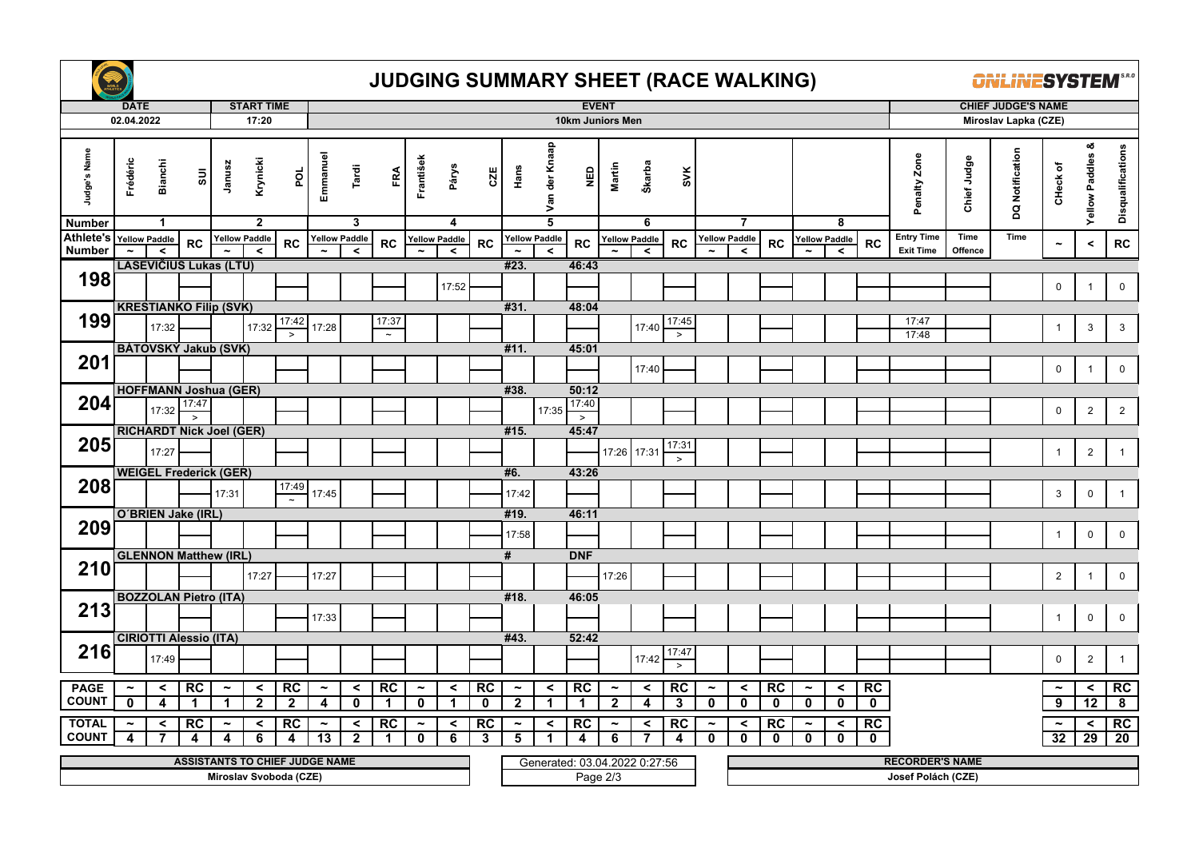

## **JUDGING SUMMARY SHEET (RACE WALKING)**

**ONLINESYSTEM** 

|                               | <b>DATE</b>           |                                |                                 |                       | <b>START TIME</b>        |                                       |                       |                      |             |                       |                      |             | <b>EVENT</b>          |                                 |                               |                       |                      |                 |                       |                      |              |                       |                      | <b>CHIEF JUDGE'S NAME</b> |                        |             |                 |                       |                            |                   |  |  |
|-------------------------------|-----------------------|--------------------------------|---------------------------------|-----------------------|--------------------------|---------------------------------------|-----------------------|----------------------|-------------|-----------------------|----------------------|-------------|-----------------------|---------------------------------|-------------------------------|-----------------------|----------------------|-----------------|-----------------------|----------------------|--------------|-----------------------|----------------------|---------------------------|------------------------|-------------|-----------------|-----------------------|----------------------------|-------------------|--|--|
|                               | 02.04.2022            |                                |                                 |                       | 17:20                    |                                       |                       |                      |             |                       |                      |             | 10km Juniors Men      |                                 |                               |                       |                      |                 |                       |                      |              |                       |                      |                           | Miroslav Lapka (CZE)   |             |                 |                       |                            |                   |  |  |
| Judge's Name<br><b>Number</b> | Frédéric              | <b>Bianchi</b><br>$\mathbf{1}$ | $\overline{\textrm{su}}$        | Janusz                | Krynicki<br>$\mathbf{2}$ | por                                   | Emmanuel              | Tardi<br>3           | FRA         | František             | Párys<br>4           | CZE         | Hans                  | Van der Knaap<br>$\overline{5}$ | <b>Q3N</b>                    | Martin                | Škarba<br>6          | SVK             |                       | $\overline{7}$       |              |                       | 8                    |                           | Penalty Zone           | Chief Judge | DQ Notification | CHeck of              | య<br><b>Yellow Paddles</b> | Disqualifications |  |  |
| Athlete's                     |                       | <b>Yellow Paddle</b>           |                                 |                       | <b>Yellow Paddle</b>     |                                       |                       | <b>Yellow Paddle</b> |             |                       | <b>Yellow Paddle</b> |             |                       | <b>Yellow Paddle</b>            |                               |                       | <b>Yellow Paddle</b> |                 |                       | <b>Yellow Paddle</b> |              |                       | <b>Yellow Paddle</b> |                           | <b>Entry Time</b>      | Time        | Time            |                       |                            |                   |  |  |
| <b>Number</b>                 |                       | $\prec$                        | <b>RC</b>                       |                       | $\epsilon$               | <b>RC</b>                             |                       | $\prec$              | RC          |                       | $\prec$              | RC          |                       | $\overline{\phantom{a}}$        | <b>RC</b>                     |                       | $\prec$              | <b>RC</b>       |                       | $\prec$              | <b>RC</b>    |                       | $\prec$              | <b>RC</b>                 | <b>Exit Time</b>       | Offence     |                 | $\tilde{}$            | $\,<$                      | ${\sf RC}$        |  |  |
|                               |                       |                                | <b>LASEVICIUS Lukas (LTU)</b>   |                       |                          |                                       |                       |                      |             |                       |                      |             | #23.                  |                                 | 46:43                         |                       |                      |                 |                       |                      |              |                       |                      |                           |                        |             |                 |                       |                            |                   |  |  |
| 198                           |                       |                                |                                 |                       |                          |                                       |                       |                      |             |                       | 17:52                |             |                       |                                 |                               |                       |                      |                 |                       |                      |              |                       |                      |                           |                        |             |                 | $\mathbf 0$           | $\overline{1}$             | $\mathbf 0$       |  |  |
|                               |                       |                                | <b>KRESTIANKO Filip (SVK)</b>   |                       |                          |                                       |                       |                      |             |                       |                      |             | #31.                  |                                 | 48:04                         |                       |                      |                 |                       |                      |              |                       |                      |                           |                        |             |                 |                       |                            |                   |  |  |
| 199                           |                       |                                |                                 |                       |                          | 17:42                                 |                       |                      | 17:37       |                       |                      |             |                       |                                 |                               |                       |                      | 17:45           |                       |                      |              |                       |                      |                           | 17:47                  |             |                 |                       |                            |                   |  |  |
|                               |                       | 17:32                          |                                 |                       | 17:32                    |                                       | 17:28                 |                      | $\sim$      |                       |                      |             |                       |                                 |                               |                       | 17:40                | $\geq$          |                       |                      |              |                       |                      |                           | 17:48                  |             |                 | $\overline{1}$        | $\mathbf{3}$               | 3                 |  |  |
|                               |                       |                                | BÁTOVSKÝ Jakub (SVK)            |                       |                          |                                       |                       |                      |             |                       |                      |             | #11.                  |                                 | 45:01                         |                       |                      |                 |                       |                      |              |                       |                      |                           |                        |             |                 |                       |                            |                   |  |  |
| 201                           |                       |                                |                                 |                       |                          |                                       |                       |                      |             |                       |                      |             |                       |                                 |                               |                       | 17:40                |                 |                       |                      |              |                       |                      |                           |                        |             |                 | $\mathbf 0$           | $\overline{1}$             | $\mathbf 0$       |  |  |
|                               |                       |                                | <b>HOFFMANN Joshua (GER)</b>    |                       |                          |                                       |                       |                      |             |                       |                      |             | #38.                  |                                 | 50:12                         |                       |                      |                 |                       |                      |              |                       |                      |                           |                        |             |                 |                       |                            |                   |  |  |
| 204                           |                       | 17:32                          | 17:47                           |                       |                          |                                       |                       |                      |             |                       |                      |             |                       | 17:35                           | 17:40                         |                       |                      |                 |                       |                      |              |                       |                      |                           |                        |             |                 | $\mathbf 0$           | $\overline{2}$             | $\overline{2}$    |  |  |
|                               |                       |                                | $\rightarrow$                   |                       |                          |                                       |                       |                      |             |                       |                      |             |                       |                                 | $\check{ }$                   |                       |                      |                 |                       |                      |              |                       |                      |                           |                        |             |                 |                       |                            |                   |  |  |
| 205                           |                       |                                | <b>RICHARDT Nick Joel (GER)</b> |                       |                          |                                       |                       |                      |             |                       |                      |             | #15.                  |                                 | 45:47                         |                       |                      | 17:31           |                       |                      |              |                       |                      |                           |                        |             |                 |                       |                            |                   |  |  |
|                               |                       | 17:27                          |                                 |                       |                          |                                       |                       |                      |             |                       |                      |             |                       |                                 |                               |                       | 17:26 17:31          | $\rightarrow$   |                       |                      |              |                       |                      |                           |                        |             |                 | $\overline{1}$        | $\overline{2}$             | $\mathbf{1}$      |  |  |
|                               |                       |                                | <b>WEIGEL Frederick (GER)</b>   |                       |                          |                                       |                       |                      |             |                       |                      |             | #6.                   |                                 | 43:26                         |                       |                      |                 |                       |                      |              |                       |                      |                           |                        |             |                 |                       |                            |                   |  |  |
| 208                           |                       |                                |                                 | 17:31                 |                          | 17:49                                 | 17:45                 |                      |             |                       |                      |             | 17:42                 |                                 |                               |                       |                      |                 |                       |                      |              |                       |                      |                           |                        |             |                 | 3                     | $\mathbf 0$                | $\mathbf{1}$      |  |  |
|                               |                       |                                |                                 |                       |                          |                                       |                       |                      |             |                       |                      |             |                       |                                 |                               |                       |                      |                 |                       |                      |              |                       |                      |                           |                        |             |                 |                       |                            |                   |  |  |
| 209                           |                       |                                | O'BRIEN Jake (IRL)              |                       |                          |                                       |                       |                      |             |                       |                      |             | #19.                  |                                 | 46:11                         |                       |                      |                 |                       |                      |              |                       |                      |                           |                        |             |                 |                       |                            |                   |  |  |
|                               |                       |                                |                                 |                       |                          |                                       |                       |                      |             |                       |                      |             | 17:58                 |                                 |                               |                       |                      |                 |                       |                      |              |                       |                      |                           |                        |             |                 | $\mathbf{1}$          | $\mathbf 0$                | $\mathbf 0$       |  |  |
|                               |                       |                                | <b>GLENNON Matthew (IRL)</b>    |                       |                          |                                       |                       |                      |             |                       |                      |             | #                     |                                 | <b>DNF</b>                    |                       |                      |                 |                       |                      |              |                       |                      |                           |                        |             |                 |                       |                            |                   |  |  |
| 210                           |                       |                                |                                 |                       | 17:27                    |                                       | 17:27                 |                      |             |                       |                      |             |                       |                                 |                               | 17:26                 |                      |                 |                       |                      |              |                       |                      |                           |                        |             |                 | $\overline{c}$        | $\overline{1}$             | $\pmb{0}$         |  |  |
|                               |                       |                                | <b>BOZZOLAN Pietro (ITA)</b>    |                       |                          |                                       |                       |                      |             |                       |                      |             | #18.                  |                                 | 46:05                         |                       |                      |                 |                       |                      |              |                       |                      |                           |                        |             |                 |                       |                            |                   |  |  |
| 213                           |                       |                                |                                 |                       |                          |                                       |                       |                      |             |                       |                      |             |                       |                                 |                               |                       |                      |                 |                       |                      |              |                       |                      |                           |                        |             |                 |                       |                            |                   |  |  |
|                               |                       |                                |                                 |                       |                          |                                       | 17:33                 |                      |             |                       |                      |             |                       |                                 |                               |                       |                      |                 |                       |                      |              |                       |                      |                           |                        |             |                 | $\overline{1}$        | $\mathsf 0$                | $\mathbf 0$       |  |  |
|                               |                       |                                | <b>CIRIOTTI Alessio (ITA)</b>   |                       |                          |                                       |                       |                      |             |                       |                      |             | #43.                  |                                 | 52:42                         |                       |                      |                 |                       |                      |              |                       |                      |                           |                        |             |                 |                       |                            |                   |  |  |
| 216                           |                       | 17:49                          |                                 |                       |                          |                                       |                       |                      |             |                       |                      |             |                       |                                 |                               |                       | 17:42                | 17:47<br>$\geq$ |                       |                      |              |                       |                      |                           |                        |             |                 | $\mathbf 0$           | $\overline{2}$             | $\mathbf{1}$      |  |  |
|                               |                       |                                |                                 |                       |                          |                                       |                       |                      |             |                       |                      |             |                       |                                 |                               |                       |                      |                 |                       |                      |              |                       |                      |                           |                        |             |                 |                       |                            |                   |  |  |
| <b>PAGE</b>                   | $\tilde{\phantom{a}}$ | $\prec$                        | RC                              | $\tilde{\phantom{a}}$ | $\prec$                  | <b>RC</b>                             | $\tilde{\phantom{a}}$ | $\prec$              | RC          | $\tilde{\phantom{a}}$ | $\prec$              | RC          | $\tilde{\phantom{a}}$ | $\prec$                         | RC                            | $\tilde{\phantom{a}}$ | $\prec$              | $\overline{RC}$ | $\tilde{\phantom{a}}$ | $\hat{}$             | RC           | $\tilde{\phantom{a}}$ | $\prec$              | RC                        |                        |             |                 | $\tilde{\phantom{a}}$ | $\prec$                    | RC                |  |  |
| <b>COUNT</b>                  | 0                     | 4                              | $\mathbf{1}$                    | $\mathbf 1$           | $\mathbf{2}$             | $\mathbf{2}$                          | 4                     | $\mathbf 0$          | $\mathbf 1$ | $\mathbf 0$           | $\mathbf 1$          | $\mathbf 0$ | $\mathbf{2}$          | $\mathbf{1}$                    | $\mathbf{1}$                  | $\mathbf{2}$          | 4                    | 3               | $\mathbf 0$           | $\mathbf{0}$         | $\mathbf 0$  | $\mathbf 0$           | $\mathbf 0$          | $\mathbf 0$               |                        |             |                 | 9                     | 12                         | 8                 |  |  |
| <b>TOTAL</b>                  | $\tilde{}$            | $\checkmark$                   | RC                              | $\tilde{\phantom{a}}$ | $\prec$                  | RC                                    | $\tilde{\phantom{a}}$ | $\checkmark$         | <b>RC</b>   | $\tilde{\phantom{a}}$ | $\prec$              | RC          | $\tilde{\phantom{a}}$ | $\prec$                         | RC                            | $\tilde{\phantom{a}}$ | $\checkmark$         | RC              | $\tilde{\phantom{a}}$ | $\prec$              | RC           | $\tilde{\phantom{a}}$ | $\prec$              | RC                        |                        |             |                 |                       | $\prec$                    | RC                |  |  |
| <b>COUNT</b>                  | 4                     | 7                              | 4                               | 4                     | 6                        | $\overline{\mathbf{4}}$               | 13                    | $\overline{2}$       | -1          | $\mathbf{0}$          | 6                    | 3           | 5                     | 1                               | 4                             | 6                     | 7                    | 4               | $\mathbf{0}$          | $\mathbf{0}$         | $\mathbf{0}$ | $\mathbf 0$           | $\mathbf{0}$         | $\mathbf 0$               |                        |             |                 | 32                    | 29                         | $\overline{20}$   |  |  |
|                               |                       |                                |                                 |                       |                          | <b>ASSISTANTS TO CHIEF JUDGE NAME</b> |                       |                      |             |                       |                      |             |                       |                                 | Generated: 03.04.2022 0.27:56 |                       |                      |                 |                       |                      |              |                       |                      |                           | <b>RECORDER'S NAME</b> |             |                 |                       |                            |                   |  |  |
|                               |                       |                                |                                 |                       |                          | Miroslav Svoboda (CZE)                |                       |                      |             |                       |                      |             |                       |                                 | Page $2/3$                    |                       |                      |                 |                       |                      |              |                       |                      |                           | Josef Polách (CZE)     |             |                 |                       |                            |                   |  |  |